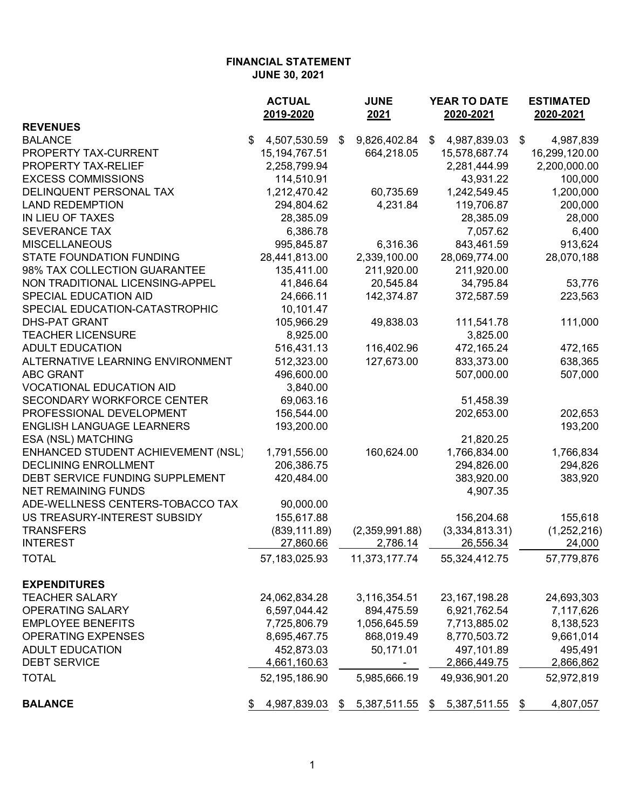|                                    | <b>ACTUAL</b>      | <b>JUNE</b>        | YEAR TO DATE       | <b>ESTIMATED</b> |
|------------------------------------|--------------------|--------------------|--------------------|------------------|
|                                    | 2019-2020          | 2021               | 2020-2021          | 2020-2021        |
| <b>REVENUES</b>                    |                    |                    |                    |                  |
| <b>BALANCE</b>                     | 4,507,530.59<br>S  | 9,826,402.84<br>\$ | \$<br>4,987,839.03 | \$<br>4,987,839  |
| PROPERTY TAX-CURRENT               | 15, 194, 767. 51   | 664,218.05         | 15,578,687.74      | 16,299,120.00    |
| PROPERTY TAX-RELIEF                | 2,258,799.94       |                    | 2,281,444.99       | 2,200,000.00     |
| <b>EXCESS COMMISSIONS</b>          | 114,510.91         |                    | 43,931.22          | 100,000          |
| DELINQUENT PERSONAL TAX            | 1,212,470.42       | 60,735.69          | 1,242,549.45       | 1,200,000        |
| <b>LAND REDEMPTION</b>             | 294,804.62         | 4,231.84           | 119,706.87         | 200,000          |
| IN LIEU OF TAXES                   | 28,385.09          |                    | 28,385.09          | 28,000           |
| <b>SEVERANCE TAX</b>               | 6,386.78           |                    | 7,057.62           | 6,400            |
| <b>MISCELLANEOUS</b>               | 995,845.87         | 6,316.36           | 843,461.59         | 913,624          |
| <b>STATE FOUNDATION FUNDING</b>    | 28,441,813.00      | 2,339,100.00       | 28,069,774.00      | 28,070,188       |
| 98% TAX COLLECTION GUARANTEE       | 135,411.00         | 211,920.00         | 211,920.00         |                  |
| NON TRADITIONAL LICENSING-APPEL    | 41,846.64          | 20,545.84          | 34,795.84          | 53,776           |
| <b>SPECIAL EDUCATION AID</b>       | 24,666.11          | 142,374.87         | 372,587.59         | 223,563          |
| SPECIAL EDUCATION-CATASTROPHIC     | 10,101.47          |                    |                    |                  |
| <b>DHS-PAT GRANT</b>               | 105,966.29         | 49,838.03          | 111,541.78         | 111,000          |
| <b>TEACHER LICENSURE</b>           | 8,925.00           |                    | 3,825.00           |                  |
| <b>ADULT EDUCATION</b>             | 516,431.13         | 116,402.96         | 472,165.24         | 472,165          |
| ALTERNATIVE LEARNING ENVIRONMENT   | 512,323.00         | 127,673.00         | 833,373.00         | 638,365          |
| <b>ABC GRANT</b>                   | 496,600.00         |                    | 507,000.00         | 507,000          |
| <b>VOCATIONAL EDUCATION AID</b>    | 3,840.00           |                    |                    |                  |
| SECONDARY WORKFORCE CENTER         | 69,063.16          |                    | 51,458.39          |                  |
| PROFESSIONAL DEVELOPMENT           | 156,544.00         |                    | 202,653.00         | 202,653          |
| <b>ENGLISH LANGUAGE LEARNERS</b>   | 193,200.00         |                    |                    | 193,200          |
| ESA (NSL) MATCHING                 |                    |                    | 21,820.25          |                  |
| ENHANCED STUDENT ACHIEVEMENT (NSL) | 1,791,556.00       | 160,624.00         | 1,766,834.00       | 1,766,834        |
| <b>DECLINING ENROLLMENT</b>        | 206,386.75         |                    | 294,826.00         | 294,826          |
| DEBT SERVICE FUNDING SUPPLEMENT    | 420,484.00         |                    | 383,920.00         | 383,920          |
| <b>NET REMAINING FUNDS</b>         |                    |                    | 4,907.35           |                  |
| ADE-WELLNESS CENTERS-TOBACCO TAX   | 90,000.00          |                    |                    |                  |
| US TREASURY-INTEREST SUBSIDY       | 155,617.88         |                    | 156,204.68         | 155,618          |
| <b>TRANSFERS</b>                   | (839, 111.89)      | (2,359,991.88)     | (3,334,813.31)     | (1, 252, 216)    |
| <b>INTEREST</b>                    | 27,860.66          | 2,786.14           | 26,556.34          | 24,000           |
| <b>TOTAL</b>                       | 57,183,025.93      | 11,373,177.74      | 55,324,412.75      | 57,779,876       |
|                                    |                    |                    |                    |                  |
| <b>EXPENDITURES</b>                |                    |                    |                    |                  |
| <b>TEACHER SALARY</b>              | 24,062,834.28      | 3,116,354.51       | 23, 167, 198. 28   | 24,693,303       |
| <b>OPERATING SALARY</b>            | 6,597,044.42       | 894,475.59         | 6,921,762.54       | 7,117,626        |
| <b>EMPLOYEE BENEFITS</b>           | 7,725,806.79       | 1,056,645.59       | 7,713,885.02       | 8,138,523        |
| <b>OPERATING EXPENSES</b>          | 8,695,467.75       | 868,019.49         | 8,770,503.72       | 9,661,014        |
| <b>ADULT EDUCATION</b>             | 452,873.03         | 50,171.01          | 497,101.89         | 495,491          |
| <b>DEBT SERVICE</b>                | 4,661,160.63       |                    | 2,866,449.75       | 2,866,862        |
| <b>TOTAL</b>                       | 52,195,186.90      | 5,985,666.19       | 49,936,901.20      | 52,972,819       |
| <b>BALANCE</b>                     | 4,987,839.03<br>\$ | 5,387,511.55<br>\$ | 5,387,511.55<br>\$ | 4,807,057<br>\$  |
|                                    |                    |                    |                    |                  |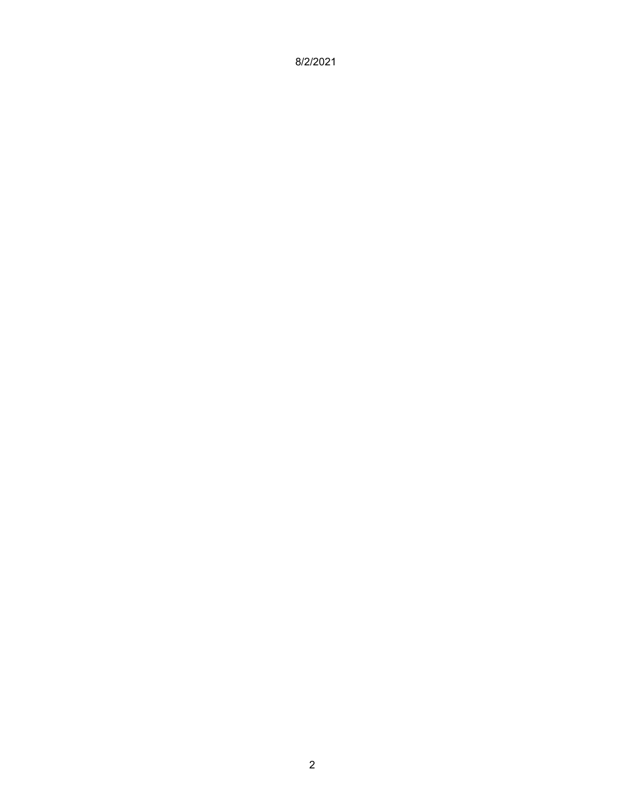8/2/2021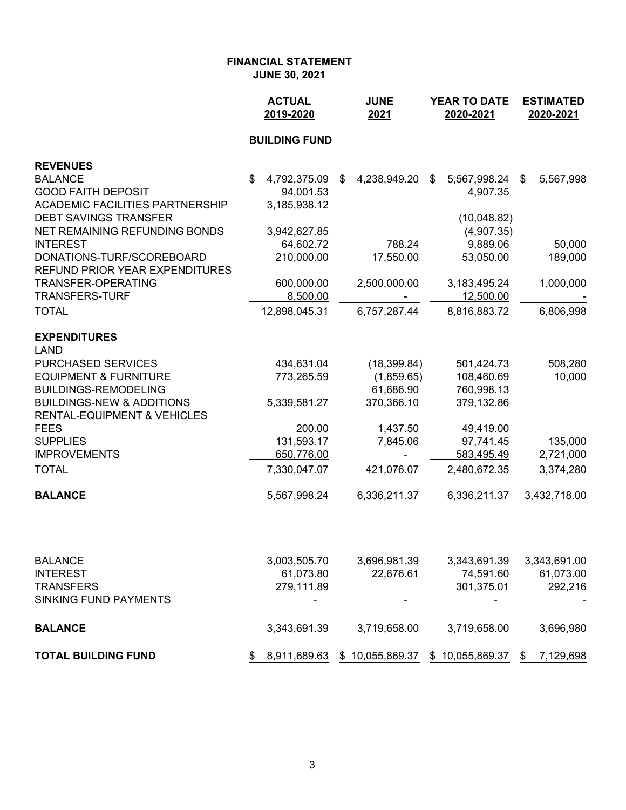|                                        | <b>ACTUAL</b><br>2019-2020 | <b>JUNE</b><br>2021 | <b>YEAR TO DATE</b><br>2020-2021 | <b>ESTIMATED</b><br>2020-2021 |              |
|----------------------------------------|----------------------------|---------------------|----------------------------------|-------------------------------|--------------|
|                                        | <b>BUILDING FUND</b>       |                     |                                  |                               |              |
| <b>REVENUES</b>                        |                            |                     |                                  |                               |              |
| <b>BALANCE</b>                         | \$<br>4,792,375.09         | \$<br>4,238,949.20  | \$<br>5,567,998.24               | \$                            | 5,567,998    |
| <b>GOOD FAITH DEPOSIT</b>              | 94,001.53                  |                     | 4,907.35                         |                               |              |
| <b>ACADEMIC FACILITIES PARTNERSHIP</b> | 3,185,938.12               |                     |                                  |                               |              |
| <b>DEBT SAVINGS TRANSFER</b>           |                            |                     | (10,048.82)                      |                               |              |
| NET REMAINING REFUNDING BONDS          | 3,942,627.85               |                     | (4,907.35)                       |                               |              |
| <b>INTEREST</b>                        | 64,602.72                  | 788.24              | 9,889.06                         |                               | 50,000       |
| DONATIONS-TURF/SCOREBOARD              | 210,000.00                 | 17,550.00           | 53,050.00                        |                               | 189,000      |
| <b>REFUND PRIOR YEAR EXPENDITURES</b>  |                            |                     |                                  |                               |              |
| <b>TRANSFER-OPERATING</b>              | 600,000.00                 | 2,500,000.00        | 3,183,495.24                     |                               | 1,000,000    |
| TRANSFERS-TURF                         | 8,500.00                   |                     | 12,500.00                        |                               |              |
| <b>TOTAL</b>                           | 12,898,045.31              | 6,757,287.44        | 8,816,883.72                     |                               | 6,806,998    |
| <b>EXPENDITURES</b>                    |                            |                     |                                  |                               |              |
| <b>LAND</b>                            |                            |                     |                                  |                               |              |
| <b>PURCHASED SERVICES</b>              | 434,631.04                 | (18, 399.84)        | 501,424.73                       |                               | 508,280      |
| <b>EQUIPMENT &amp; FURNITURE</b>       | 773,265.59                 | (1,859.65)          | 108,460.69                       |                               | 10,000       |
| <b>BUILDINGS-REMODELING</b>            |                            | 61,686.90           | 760,998.13                       |                               |              |
| <b>BUILDINGS-NEW &amp; ADDITIONS</b>   | 5,339,581.27               | 370,366.10          | 379,132.86                       |                               |              |
| <b>RENTAL-EQUIPMENT &amp; VEHICLES</b> |                            |                     |                                  |                               |              |
| <b>FEES</b>                            | 200.00                     | 1,437.50            | 49,419.00                        |                               |              |
| <b>SUPPLIES</b>                        | 131,593.17                 | 7,845.06            | 97,741.45                        |                               | 135,000      |
| <b>IMPROVEMENTS</b>                    | 650,776.00                 |                     | 583,495.49                       |                               | 2,721,000    |
| <b>TOTAL</b>                           | 7,330,047.07               | 421,076.07          | 2,480,672.35                     |                               | 3,374,280    |
| <b>BALANCE</b>                         | 5,567,998.24               | 6,336,211.37        | 6,336,211.37                     |                               | 3,432,718.00 |
|                                        |                            |                     |                                  |                               |              |
| <b>BALANCE</b>                         | 3,003,505.70               | 3,696,981.39        | 3,343,691.39                     |                               | 3,343,691.00 |
| <b>INTEREST</b>                        | 61,073.80                  | 22,676.61           | 74,591.60                        |                               | 61,073.00    |

TRANSFERS 279,111.89 301,375.01 292,216 SINKING FUND PAYMENTS - - - - **BALANCE** 3,343,691.39 3,719,658.00 3,719,658.00 3,696,980 **TOTAL BUILDING FUND** \$ 8,911,689.63 \$ 10,055,869.37 \$ 10,055,869.37 \$ 7,129,698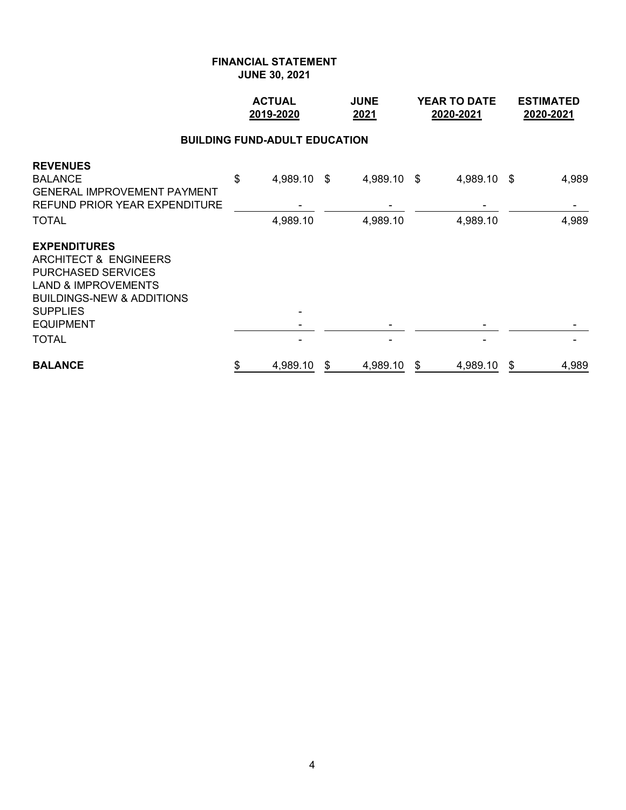|                                                                                                                                                                                                                       | <b>ACTUAL</b><br>2019-2020 |                                      |    | <b>JUNE</b><br>2021     | <b>YEAR TO DATE</b><br>2020-2021 | <b>ESTIMATED</b><br>2020-2021 |                |
|-----------------------------------------------------------------------------------------------------------------------------------------------------------------------------------------------------------------------|----------------------------|--------------------------------------|----|-------------------------|----------------------------------|-------------------------------|----------------|
|                                                                                                                                                                                                                       |                            | <b>BUILDING FUND-ADULT EDUCATION</b> |    |                         |                                  |                               |                |
| <b>REVENUES</b><br><b>BALANCE</b><br><b>GENERAL IMPROVEMENT PAYMENT</b><br><b>REFUND PRIOR YEAR EXPENDITURE</b><br><b>TOTAL</b>                                                                                       | \$                         | 4,989.10<br>4,989.10                 | \$ | 4,989.10 \$<br>4,989.10 | 4,989.10 \$<br>4,989.10          |                               | 4,989<br>4,989 |
| <b>EXPENDITURES</b><br><b>ARCHITECT &amp; ENGINEERS</b><br><b>PURCHASED SERVICES</b><br><b>LAND &amp; IMPROVEMENTS</b><br><b>BUILDINGS-NEW &amp; ADDITIONS</b><br><b>SUPPLIES</b><br><b>EQUIPMENT</b><br><b>TOTAL</b> |                            |                                      |    |                         |                                  |                               |                |
| <b>BALANCE</b>                                                                                                                                                                                                        | \$                         | 4,989.10                             | \$ | 4,989.10                | \$<br>4,989.10                   | \$                            | 4,989          |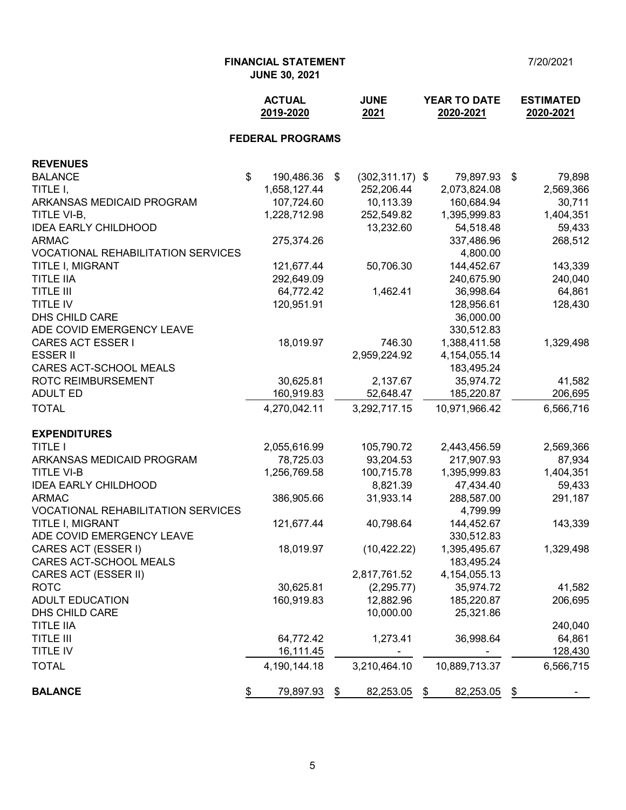# **FINANCIAL STATEMENT** 7/20/2021

**JUNE 30, 2021**

|                                           |               | <b>ACTUAL</b><br>2019-2020 | <b>JUNE</b><br>2021 |                    |    | YEAR TO DATE<br>2020-2021 | <b>ESTIMATED</b><br>2020-2021 |           |
|-------------------------------------------|---------------|----------------------------|---------------------|--------------------|----|---------------------------|-------------------------------|-----------|
|                                           |               | <b>FEDERAL PROGRAMS</b>    |                     |                    |    |                           |                               |           |
| <b>REVENUES</b>                           |               |                            |                     |                    |    |                           |                               |           |
| <b>BALANCE</b>                            | $\mathfrak s$ | 190,486.36                 | \$                  | $(302, 311.17)$ \$ |    | 79,897.93                 | \$                            | 79,898    |
| TITLE I,                                  |               | 1,658,127.44               |                     | 252,206.44         |    | 2,073,824.08              |                               | 2,569,366 |
| ARKANSAS MEDICAID PROGRAM                 |               | 107,724.60                 |                     | 10,113.39          |    | 160,684.94                |                               | 30,711    |
| TITLE VI-B,                               |               | 1,228,712.98               |                     | 252,549.82         |    | 1,395,999.83              |                               | 1,404,351 |
| <b>IDEA EARLY CHILDHOOD</b>               |               |                            |                     | 13,232.60          |    | 54,518.48                 |                               | 59,433    |
| <b>ARMAC</b>                              |               | 275,374.26                 |                     |                    |    | 337,486.96                |                               | 268,512   |
| <b>VOCATIONAL REHABILITATION SERVICES</b> |               |                            |                     |                    |    | 4,800.00                  |                               |           |
| TITLE I, MIGRANT                          |               | 121,677.44                 |                     | 50,706.30          |    | 144,452.67                |                               | 143,339   |
| <b>TITLE IIA</b>                          |               | 292,649.09                 |                     |                    |    | 240,675.90                |                               | 240,040   |
| <b>TITLE III</b>                          |               | 64,772.42                  |                     | 1,462.41           |    | 36,998.64                 |                               | 64,861    |
| TITLE IV                                  |               | 120,951.91                 |                     |                    |    | 128,956.61                |                               | 128,430   |
| DHS CHILD CARE                            |               |                            |                     |                    |    | 36,000.00                 |                               |           |
| ADE COVID EMERGENCY LEAVE                 |               |                            |                     |                    |    | 330,512.83                |                               |           |
| <b>CARES ACT ESSER I</b>                  |               | 18,019.97                  |                     | 746.30             |    | 1,388,411.58              |                               | 1,329,498 |
| <b>ESSER II</b>                           |               |                            |                     | 2,959,224.92       |    | 4, 154, 055. 14           |                               |           |
| <b>CARES ACT-SCHOOL MEALS</b>             |               |                            |                     |                    |    | 183,495.24                |                               |           |
| ROTC REIMBURSEMENT                        |               | 30,625.81                  |                     | 2,137.67           |    | 35,974.72                 |                               | 41,582    |
| <b>ADULT ED</b>                           |               | 160,919.83                 |                     | 52,648.47          |    | 185,220.87                |                               | 206,695   |
| <b>TOTAL</b>                              |               | 4,270,042.11               |                     | 3,292,717.15       |    | 10,971,966.42             |                               | 6,566,716 |
| <b>EXPENDITURES</b>                       |               |                            |                     |                    |    |                           |                               |           |
| <b>TITLE I</b>                            |               | 2,055,616.99               |                     | 105,790.72         |    | 2,443,456.59              |                               | 2,569,366 |
| ARKANSAS MEDICAID PROGRAM                 |               | 78,725.03                  |                     | 93,204.53          |    | 217,907.93                |                               | 87,934    |
| <b>TITLE VI-B</b>                         |               | 1,256,769.58               |                     | 100,715.78         |    | 1,395,999.83              |                               | 1,404,351 |
| <b>IDEA EARLY CHILDHOOD</b>               |               |                            |                     | 8,821.39           |    | 47,434.40                 |                               | 59,433    |
| <b>ARMAC</b>                              |               | 386,905.66                 |                     | 31,933.14          |    | 288,587.00                |                               | 291,187   |
| <b>VOCATIONAL REHABILITATION SERVICES</b> |               |                            |                     |                    |    | 4,799.99                  |                               |           |
| TITLE I, MIGRANT                          |               | 121,677.44                 |                     | 40,798.64          |    | 144,452.67                |                               | 143,339   |
| ADE COVID EMERGENCY LEAVE                 |               |                            |                     |                    |    | 330,512.83                |                               |           |
| CARES ACT (ESSER I)                       |               | 18,019.97                  |                     | (10, 422.22)       |    | 1,395,495.67              |                               | 1,329,498 |
| CARES ACT-SCHOOL MEALS                    |               |                            |                     |                    |    | 183,495.24                |                               |           |
| CARES ACT (ESSER II)                      |               |                            |                     | 2,817,761.52       |    | 4, 154, 055. 13           |                               |           |
| <b>ROTC</b>                               |               | 30,625.81                  |                     | (2, 295.77)        |    | 35,974.72                 |                               | 41,582    |
| <b>ADULT EDUCATION</b>                    |               | 160,919.83                 |                     | 12,882.96          |    | 185,220.87                |                               | 206,695   |
| <b>DHS CHILD CARE</b>                     |               |                            |                     | 10,000.00          |    | 25,321.86                 |                               |           |
| <b>TITLE IIA</b>                          |               |                            |                     |                    |    |                           |                               | 240,040   |
| <b>TITLE III</b>                          |               | 64,772.42                  |                     | 1,273.41           |    | 36,998.64                 |                               | 64,861    |
| TITLE IV                                  |               | 16,111.45                  |                     |                    |    |                           |                               | 128,430   |
| <b>TOTAL</b>                              |               | 4,190,144.18               |                     | 3,210,464.10       |    | 10,889,713.37             |                               | 6,566,715 |
| <b>BALANCE</b>                            | \$            | 79,897.93                  | \$                  | 82,253.05          | \$ | 82,253.05                 | \$                            |           |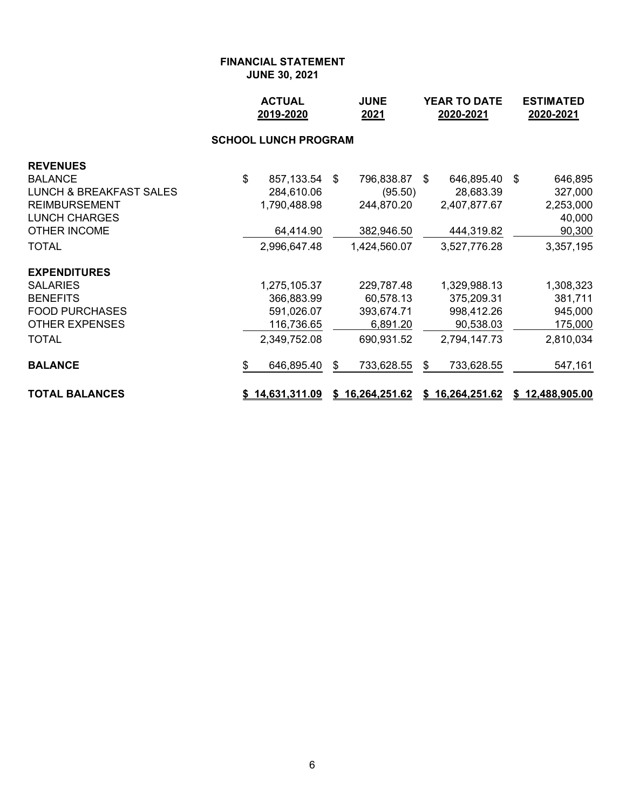|                         | <b>ACTUAL</b><br><b>JUNE</b><br>2019-2020<br>2021 |    |                 | YEAR TO DATE<br>2020-2021 |                 |  | <b>ESTIMATED</b><br>2020-2021 |  |  |
|-------------------------|---------------------------------------------------|----|-----------------|---------------------------|-----------------|--|-------------------------------|--|--|
|                         | <b>SCHOOL LUNCH PROGRAM</b>                       |    |                 |                           |                 |  |                               |  |  |
| <b>REVENUES</b>         |                                                   |    |                 |                           |                 |  |                               |  |  |
| <b>BALANCE</b>          | \$<br>857,133.54 \$                               |    | 796,838.87 \$   |                           | 646,895.40 \$   |  | 646,895                       |  |  |
| LUNCH & BREAKFAST SALES | 284,610.06                                        |    | (95.50)         |                           | 28,683.39       |  | 327,000                       |  |  |
| <b>REIMBURSEMENT</b>    | 1,790,488.98                                      |    | 244,870.20      |                           | 2,407,877.67    |  | 2,253,000                     |  |  |
| <b>LUNCH CHARGES</b>    |                                                   |    |                 |                           |                 |  | 40,000                        |  |  |
| <b>OTHER INCOME</b>     | 64,414.90                                         |    | 382,946.50      |                           | 444,319.82      |  | 90,300                        |  |  |
| <b>TOTAL</b>            | 2,996,647.48                                      |    | 1,424,560.07    |                           | 3,527,776.28    |  | 3,357,195                     |  |  |
| <b>EXPENDITURES</b>     |                                                   |    |                 |                           |                 |  |                               |  |  |
| <b>SALARIES</b>         | 1,275,105.37                                      |    | 229,787.48      |                           | 1,329,988.13    |  | 1,308,323                     |  |  |
| <b>BENEFITS</b>         | 366,883.99                                        |    | 60,578.13       |                           | 375,209.31      |  | 381,711                       |  |  |
| <b>FOOD PURCHASES</b>   | 591,026.07                                        |    | 393,674.71      |                           | 998,412.26      |  | 945,000                       |  |  |
| <b>OTHER EXPENSES</b>   | 116,736.65                                        |    | 6,891.20        |                           | 90,538.03       |  | 175,000                       |  |  |
| <b>TOTAL</b>            | 2,349,752.08                                      |    | 690,931.52      |                           | 2,794,147.73    |  | 2,810,034                     |  |  |
| <b>BALANCE</b>          | \$<br>646,895.40                                  | \$ | 733,628.55      | \$                        | 733,628.55      |  | 547,161                       |  |  |
| <b>TOTAL BALANCES</b>   | <u>\$14,631,311.09</u>                            |    | \$16,264,251.62 |                           | \$16,264,251.62 |  | \$12,488,905.00               |  |  |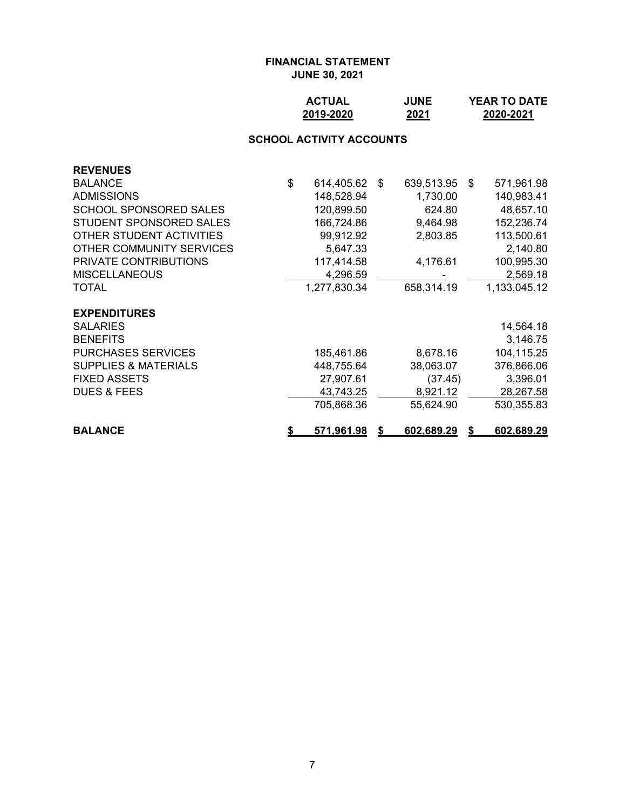| <b>ACTUAL</b> | <b>JUNE</b> | <b>YEAR TO DATE</b> |
|---------------|-------------|---------------------|
| 2019-2020     | 2021        | 2020-2021           |

## **SCHOOL ACTIVITY ACCOUNTS**

| <b>REVENUES</b>                 |                     |   |            |    |              |
|---------------------------------|---------------------|---|------------|----|--------------|
| <b>BALANCE</b>                  | \$<br>614,405.62 \$ |   | 639,513.95 | \$ | 571,961.98   |
| <b>ADMISSIONS</b>               | 148,528.94          |   | 1,730.00   |    | 140,983.41   |
| <b>SCHOOL SPONSORED SALES</b>   | 120,899.50          |   | 624.80     |    | 48,657.10    |
| STUDENT SPONSORED SALES         | 166,724.86          |   | 9,464.98   |    | 152,236.74   |
| OTHER STUDENT ACTIVITIES        | 99,912.92           |   | 2,803.85   |    | 113,500.61   |
| OTHER COMMUNITY SERVICES        | 5,647.33            |   |            |    | 2,140.80     |
| PRIVATE CONTRIBUTIONS           | 117,414.58          |   | 4,176.61   |    | 100,995.30   |
| <b>MISCELLANEOUS</b>            | 4,296.59            |   |            |    | 2,569.18     |
| <b>TOTAL</b>                    | 1,277,830.34        |   | 658,314.19 |    | 1,133,045.12 |
| <b>EXPENDITURES</b>             |                     |   |            |    |              |
| <b>SALARIES</b>                 |                     |   |            |    | 14,564.18    |
| <b>BENEFITS</b>                 |                     |   |            |    | 3,146.75     |
| <b>PURCHASES SERVICES</b>       | 185,461.86          |   | 8,678.16   |    | 104,115.25   |
| <b>SUPPLIES &amp; MATERIALS</b> | 448,755.64          |   | 38,063.07  |    | 376,866.06   |
| <b>FIXED ASSETS</b>             | 27,907.61           |   | (37.45)    |    | 3,396.01     |
| <b>DUES &amp; FEES</b>          | 43,743.25           |   | 8,921.12   |    | 28,267.58    |
|                                 | 705,868.36          |   | 55,624.90  |    | 530,355.83   |
| <b>BALANCE</b>                  | 571,961.98          | S | 602,689.29 | S  | 602,689.29   |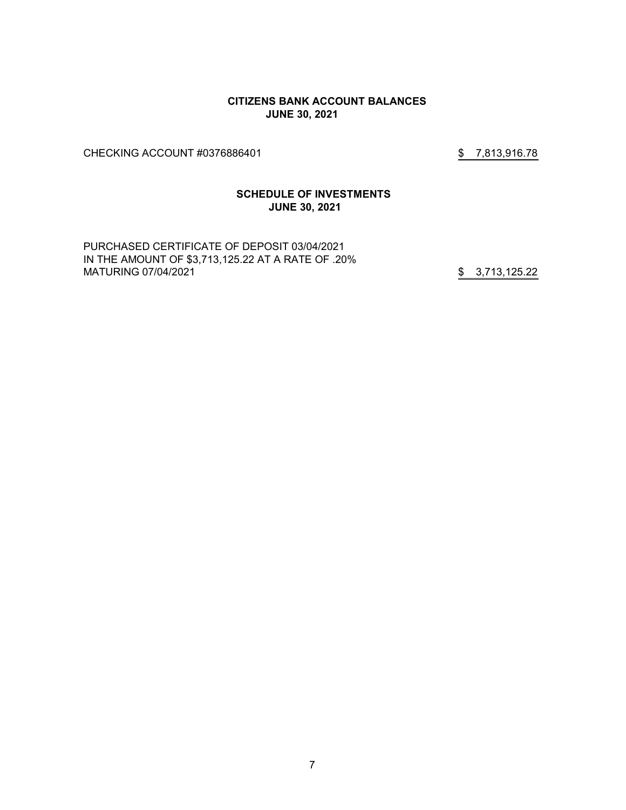#### **CITIZENS BANK ACCOUNT BALANCES JUNE 30, 2021**

CHECKING ACCOUNT #0376886401 \$7,813,916.78

#### **SCHEDULE OF INVESTMENTS JUNE 30, 2021**

PURCHASED CERTIFICATE OF DEPOSIT 03/04/2021 IN THE AMOUNT OF \$3,713,125.22 AT A RATE OF .20% MATURING 07/04/2021 **\$** 3,713,125.22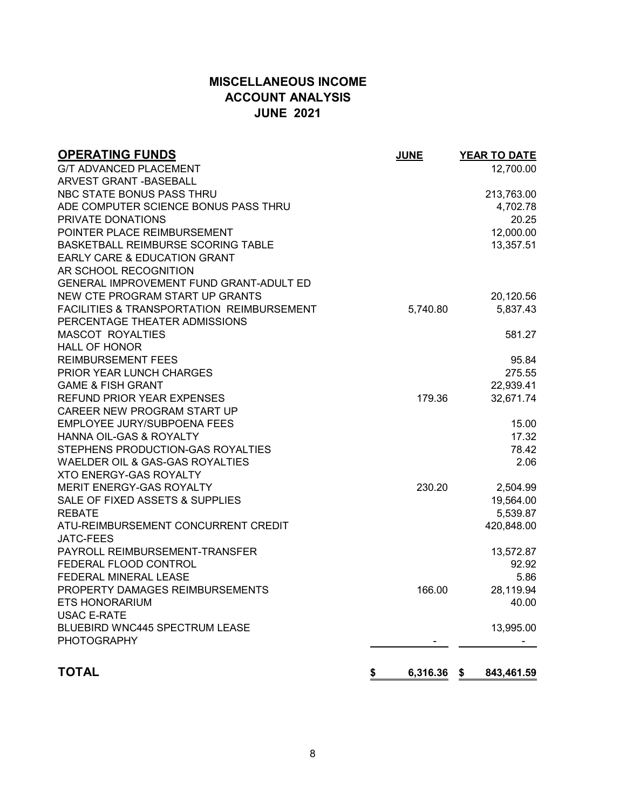## **MISCELLANEOUS INCOME ACCOUNT ANALYSIS JUNE 2021**

| <b>OPERATING FUNDS</b>                               | <b>JUNE</b>    | <b>YEAR TO DATE</b> |
|------------------------------------------------------|----------------|---------------------|
| <b>G/T ADVANCED PLACEMENT</b>                        |                | 12,700.00           |
| ARVEST GRANT - BASEBALL                              |                |                     |
| NBC STATE BONUS PASS THRU                            |                | 213,763.00          |
| ADE COMPUTER SCIENCE BONUS PASS THRU                 |                | 4,702.78            |
| PRIVATE DONATIONS                                    |                | 20.25               |
| POINTER PLACE REIMBURSEMENT                          |                | 12,000.00           |
| BASKETBALL REIMBURSE SCORING TABLE                   |                | 13,357.51           |
| <b>EARLY CARE &amp; EDUCATION GRANT</b>              |                |                     |
| AR SCHOOL RECOGNITION                                |                |                     |
| GENERAL IMPROVEMENT FUND GRANT-ADULT ED              |                |                     |
| NEW CTE PROGRAM START UP GRANTS                      |                | 20,120.56           |
| <b>FACILITIES &amp; TRANSPORTATION REIMBURSEMENT</b> | 5,740.80       | 5,837.43            |
| PERCENTAGE THEATER ADMISSIONS                        |                |                     |
| <b>MASCOT ROYALTIES</b>                              |                | 581.27              |
| <b>HALL OF HONOR</b>                                 |                |                     |
| <b>REIMBURSEMENT FEES</b>                            |                | 95.84               |
| <b>PRIOR YEAR LUNCH CHARGES</b>                      |                | 275.55              |
| <b>GAME &amp; FISH GRANT</b>                         |                | 22,939.41           |
| <b>REFUND PRIOR YEAR EXPENSES</b>                    | 179.36         | 32,671.74           |
| CAREER NEW PROGRAM START UP                          |                |                     |
| EMPLOYEE JURY/SUBPOENA FEES                          |                | 15.00               |
| HANNA OIL-GAS & ROYALTY                              |                | 17.32               |
| STEPHENS PRODUCTION-GAS ROYALTIES                    |                | 78.42               |
| WAELDER OIL & GAS-GAS ROYALTIES                      |                | 2.06                |
| <b>XTO ENERGY-GAS ROYALTY</b>                        |                |                     |
| MERIT ENERGY-GAS ROYALTY                             | 230.20         | 2,504.99            |
| SALE OF FIXED ASSETS & SUPPLIES                      |                | 19,564.00           |
| <b>REBATE</b>                                        |                | 5,539.87            |
| ATU-REIMBURSEMENT CONCURRENT CREDIT                  |                | 420,848.00          |
| JATC-FEES                                            |                |                     |
| PAYROLL REIMBURSEMENT-TRANSFER                       |                | 13,572.87           |
| FEDERAL FLOOD CONTROL                                |                | 92.92               |
| FEDERAL MINERAL LEASE                                |                | 5.86                |
| PROPERTY DAMAGES REIMBURSEMENTS                      | 166.00         | 28,119.94           |
| <b>ETS HONORARIUM</b>                                |                | 40.00               |
| <b>USAC E-RATE</b>                                   |                |                     |
| <b>BLUEBIRD WNC445 SPECTRUM LEASE</b>                |                | 13,995.00           |
| <b>PHOTOGRAPHY</b>                                   |                |                     |
| <b>TOTAL</b>                                         | \$<br>6,316.36 |                     |
|                                                      |                | - \$<br>843,461.59  |